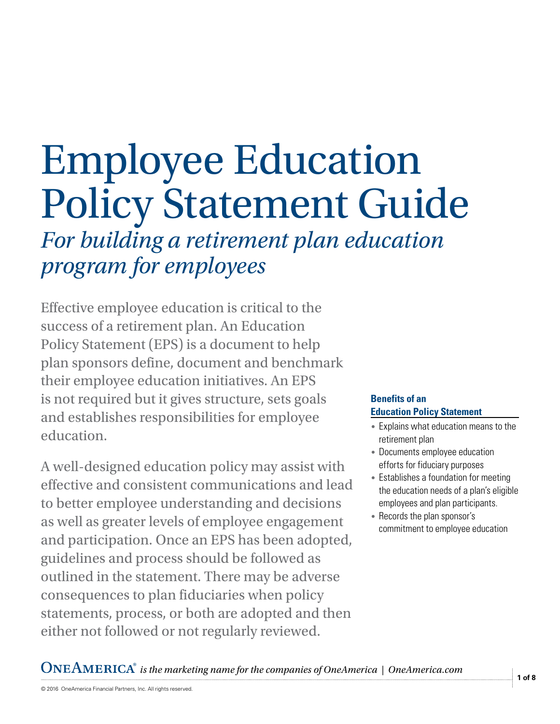# Employee Education Policy Statement Guide

*For building a retirement plan education program for employees*

Effective employee education is critical to the success of a retirement plan. An Education Policy Statement (EPS) is a document to help plan sponsors define, document and benchmark their employee education initiatives. An EPS is not required but it gives structure, sets goals and establishes responsibilities for employee education.

A well-designed education policy may assist with effective and consistent communications and lead to better employee understanding and decisions as well as greater levels of employee engagement and participation. Once an EPS has been adopted, guidelines and process should be followed as outlined in the statement. There may be adverse consequences to plan fiduciaries when policy statements, process, or both are adopted and then either not followed or not regularly reviewed.

#### **Benefits of an Education Policy Statement**

- Explains what education means to the retirement plan
- Documents employee education efforts for fiduciary purposes
- Establishes a foundation for meeting the education needs of a plan's eligible employees and plan participants.
- Records the plan sponsor's commitment to employee education

*is the marketing name for the companies of OneAmerica | OneAmerica.com*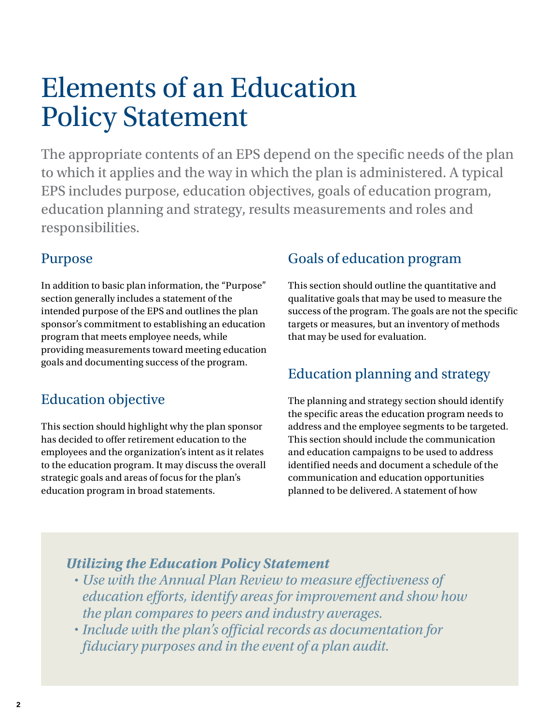# Elements of an Education Policy Statement

The appropriate contents of an EPS depend on the specific needs of the plan to which it applies and the way in which the plan is administered. A typical EPS includes purpose, education objectives, goals of education program, education planning and strategy, results measurements and roles and responsibilities.

# Purpose

In addition to basic plan information, the "Purpose" section generally includes a statement of the intended purpose of the EPS and outlines the plan sponsor's commitment to establishing an education program that meets employee needs, while providing measurements toward meeting education goals and documenting success of the program.

# Education objective

This section should highlight why the plan sponsor has decided to offer retirement education to the employees and the organization's intent as it relates to the education program. It may discuss the overall strategic goals and areas of focus for the plan's education program in broad statements.

# Goals of education program

This section should outline the quantitative and qualitative goals that may be used to measure the success of the program. The goals are not the specific targets or measures, but an inventory of methods that may be used for evaluation.

# Education planning and strategy

The planning and strategy section should identify the specific areas the education program needs to address and the employee segments to be targeted. This section should include the communication and education campaigns to be used to address identified needs and document a schedule of the communication and education opportunities planned to be delivered. A statement of how

# *Utilizing the Education Policy Statement*

- *Use with the Annual Plan Review to measure effectiveness of education efforts, identify areas for improvement and show how the plan compares to peers and industry averages.*
- *Include with the plan's official records as documentation for fiduciary purposes and in the event of a plan audit.*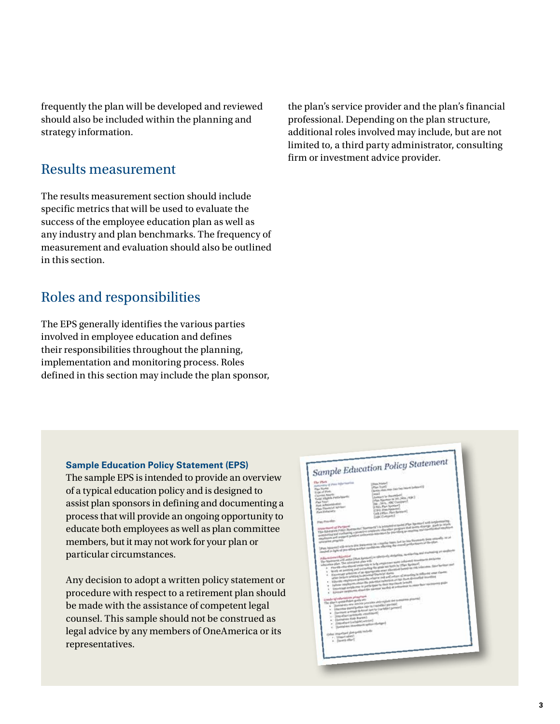frequently the plan will be developed and reviewed should also be included within the planning and strategy information.

### Results measurement

The results measurement section should include specific metrics that will be used to evaluate the success of the employee education plan as well as any industry and plan benchmarks. The frequency of measurement and evaluation should also be outlined in this section.

## Roles and responsibilities

The EPS generally identifies the various parties involved in employee education and defines their responsibilities throughout the planning, implementation and monitoring process. Roles defined in this section may include the plan sponsor, the plan's service provider and the plan's financial professional. Depending on the plan structure, additional roles involved may include, but are not limited to, a third party administrator, consulting firm or investment advice provider.

#### **Sample Education Policy Statement (EPS)**

The sample EPS is intended to provide an overview of a typical education policy and is designed to assist plan sponsors in defining and documenting a process that will provide an ongoing opportunity to educate both employees as well as plan committee members, but it may not work for your plan or particular circumstances.

Any decision to adopt a written policy statement or procedure with respect to a retirement plan should be made with the assistance of competent legal counsel. This sample should not be construed as legal advice by any members of OneAmerica or its representatives.

# Sample Education Policy Statement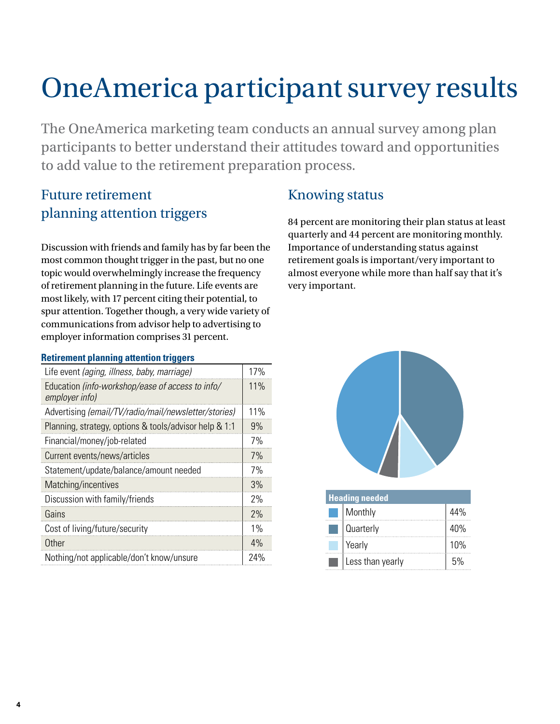# OneAmerica participant survey results

The OneAmerica marketing team conducts an annual survey among plan participants to better understand their attitudes toward and opportunities to add value to the retirement preparation process.

# Future retirement planning attention triggers

Discussion with friends and family has by far been the most common thought trigger in the past, but no one topic would overwhelmingly increase the frequency of retirement planning in the future. Life events are most likely, with 17 percent citing their potential, to spur attention. Together though, a very wide variety of communications from advisor help to advertising to employer information comprises 31 percent.

#### **Retirement planning attention triggers**

| Life event (aging, illness, baby, marriage)                        | 17% |
|--------------------------------------------------------------------|-----|
| Education (info-workshop/ease of access to info/<br>employer info) | 11% |
| Advertising (email/TV/radio/mail/newsletter/stories)               | 11% |
| Planning, strategy, options & tools/advisor help & 1:1             | 9%  |
| Financial/money/job-related                                        | 7%  |
| Current events/news/articles                                       | 7%  |
| Statement/update/balance/amount needed                             | 7%  |
| Matching/incentives                                                | 3%  |
| Discussion with family/friends                                     | 2%  |
| Gains                                                              | 2%  |
| Cost of living/future/security                                     | 1%  |
| Other                                                              | 4%  |
| Nothing/not applicable/don't know/unsure                           | 24% |

# Knowing status

84 percent are monitoring their plan status at least quarterly and 44 percent are monitoring monthly. Importance of understanding status against retirement goals is important/very important to almost everyone while more than half say that it's very important.



| <b>Heading needed</b> |                  |     |  |  |  |  |  |  |
|-----------------------|------------------|-----|--|--|--|--|--|--|
|                       | Monthly          | 44% |  |  |  |  |  |  |
|                       | Quarterly        | 40% |  |  |  |  |  |  |
|                       | Yearly           | 10% |  |  |  |  |  |  |
|                       | Less than yearly | 5%  |  |  |  |  |  |  |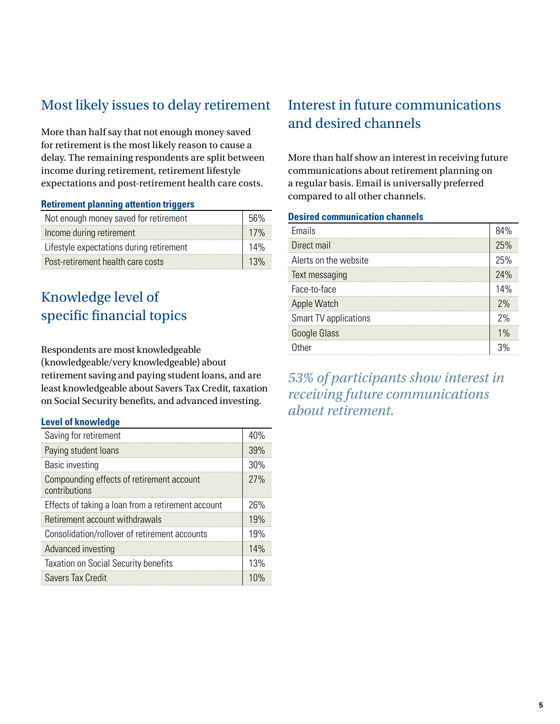# Most likely issues to delay retirement

More than half say that not enough money saved for retirement is the most likely reason to cause a delay. The remaining respondents are split between income during retirement, retirement lifestyle expectations and post-retirement health care costs.

#### **Retirement planning attention triggers**

| Not enough money saved for retirement    |     |  |  |  |
|------------------------------------------|-----|--|--|--|
| Income during retirement                 | 17% |  |  |  |
| Lifestyle expectations during retirement | 14% |  |  |  |
| Post-retirement health care costs        | 13% |  |  |  |

# Knowledge level of specific financial topics

Respondents are most knowledgeable (knowledgeable/very knowledgeable) about retirement saving and paying student loans, and are least knowledgeable about Savers Tax Credit, taxation on Social Security benefits, and advanced investing.

#### **Level of knowledge**

| Saving for retirement                                      | 40% |
|------------------------------------------------------------|-----|
| Paying student loans                                       | 39% |
| <b>Basic investing</b>                                     | 30% |
| Compounding effects of retirement account<br>contributions | 27% |
| Effects of taking a loan from a retirement account         | 26% |
| Retirement account withdrawals                             | 19% |
| Consolidation/rollover of retirement accounts              | 19% |
| Advanced investing                                         | 14% |
| <b>Taxation on Social Security benefits</b>                | 13% |
| <b>Savers Tax Credit</b>                                   | 10% |

# Interest in future communications and desired channels

More than half show an interest in receiving future communications about retirement planning on a regular basis. Email is universally preferred compared to all other channels.

#### **Desired communication channels**

| Emails                | 84% |
|-----------------------|-----|
| Direct mail           | 25% |
| Alerts on the website | 25% |
| Text messaging        | 24% |
| Face-to-face          | 14% |
| Apple Watch           | 2%  |
| Smart TV applications | 2%  |
| Google Glass          | 1%  |
| Other                 | 3%  |

*53% of participants show interest in receiving future communications about retirement.*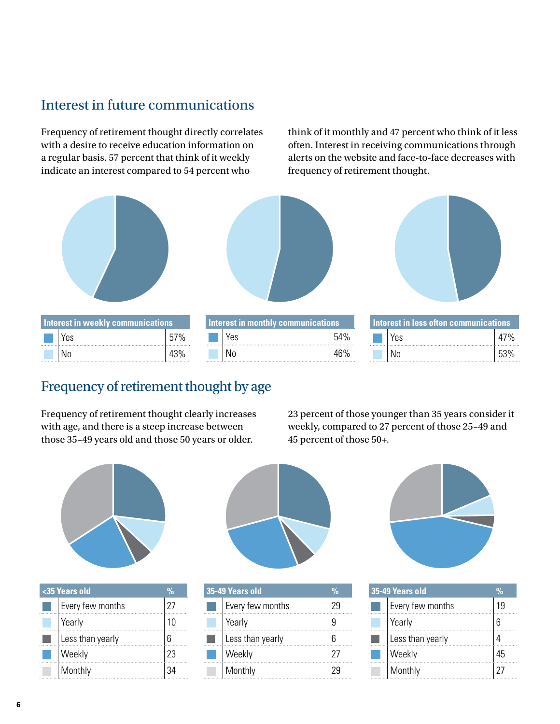# Interest in future communications

Frequency of retirement thought directly correlates with a desire to receive education information on a regular basis. 57 percent that think of it weekly indicate an interest compared to 54 percent who

think of it monthly and 47 percent who think of it less often. Interest in receiving communications through alerts on the website and face-to-face decreases with frequency of retirement thought.







|  |  | ' Interest in weekly communications, |     |   | aly communications |          | nterest in less offen communications. |     |                 |
|--|--|--------------------------------------|-----|---|--------------------|----------|---------------------------------------|-----|-----------------|
|  |  | Yes                                  | 57% | . | Yes                | 54%<br>. |                                       | Yes |                 |
|  |  | N0                                   | 43% |   | N0                 | 1 C O    |                                       | N0  | .<br>につの<br>ັບປ |

| Interest in monthly communications |                    |     |  |  |  |  |  |  |
|------------------------------------|--------------------|-----|--|--|--|--|--|--|
|                                    | $\blacksquare$ Yes | 54% |  |  |  |  |  |  |
|                                    |                    | 46% |  |  |  |  |  |  |

| est in wēekly communications. |     | erest in monthly communical |     |          | Interest in less often communications |     |       |
|-------------------------------|-----|-----------------------------|-----|----------|---------------------------------------|-----|-------|
| Yes                           | 7%  | .                           | res | 54%<br>. |                                       | Yes | $7\%$ |
| No                            | 43% |                             | N0  | 46%      |                                       | N0  | 53%   |

## Frequency of retirement thought by age

Frequency of retirement thought clearly increases with age, and there is a steep increase between those 35–49 years old and those 50 years or older.

23 percent of those younger than 35 years consider it weekly, compared to 27 percent of those 25–49 and 45 percent of those 50+.



| <35 Years old        |  | 35-49 Years old  |  | 35-49 Years old  |  |
|----------------------|--|------------------|--|------------------|--|
| <br>Every few months |  | Every tew months |  | Every few months |  |
|                      |  |                  |  |                  |  |
| Less than yearly     |  | ess than vearlv. |  | Less than yearly |  |
|                      |  |                  |  |                  |  |
|                      |  |                  |  |                  |  |



|         | 35-49 Years old  | 35-49 Years old  |    |
|---------|------------------|------------------|----|
| 27      | Every few months | Every few months |    |
| .<br>10 | rear             | Yearly           |    |
| ჩ       | Less than yearly | Less than yearly |    |
| 23      |                  |                  | Լհ |
| 34<br>. |                  |                  |    |



| 35-49 Years old  | ሣ. |
|------------------|----|
| Every few months | 19 |
| Yearly           |    |
| Less than yearly |    |
| Weekly           |    |
| Monthly          |    |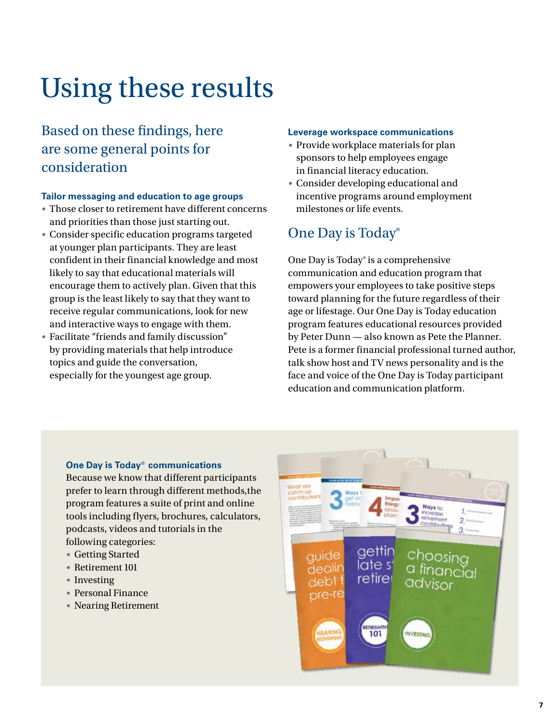# Using these results

# Based on these fndings, here are some general points for consideration

#### **Tailor messaging and education to age groups**

- Those closer to retirement have different concerns and priorities than those just starting out.
- Consider specific education programs targeted at younger plan participants. They are least confident in their financial knowledge and most likely to say that educational materials will encourage them to actively plan. Given that this group is the least likely to say that they want to receive regular communications, look for new and interactive ways to engage with them.
- Facilitate "friends and family discussion" by providing materials that help introduce topics and guide the conversation, especially for the youngest age group.

#### **Leverage workspace communications**

- Provide workplace materials for plan sponsors to help employees engage in financial literacy education.
- Consider developing educational and incentive programs around employment milestones or life events.

## One Day is Today®

One Day is Today<sup>®</sup> is a comprehensive communication and education program that empowers your employees to take positive steps toward planning for the future regardless of their age or lifestage. Our One Day is Today education program features educational resources provided by Peter Dunn — also known as Pete the Planner. Pete is a former financial professional turned author, talk show host and TV news personality and is the face and voice of the One Day is Today participant education and communication platform.

#### **One Day is Today® communications**

Because we know that different participants prefer to learn through different methods,the program features a suite of print and online tools including flyers, brochures, calculators, podcasts, videos and tutorials in the following categories:

- Getting Started
- Retirement 101
- Investing
- Personal Finance
- Nearing Retirement